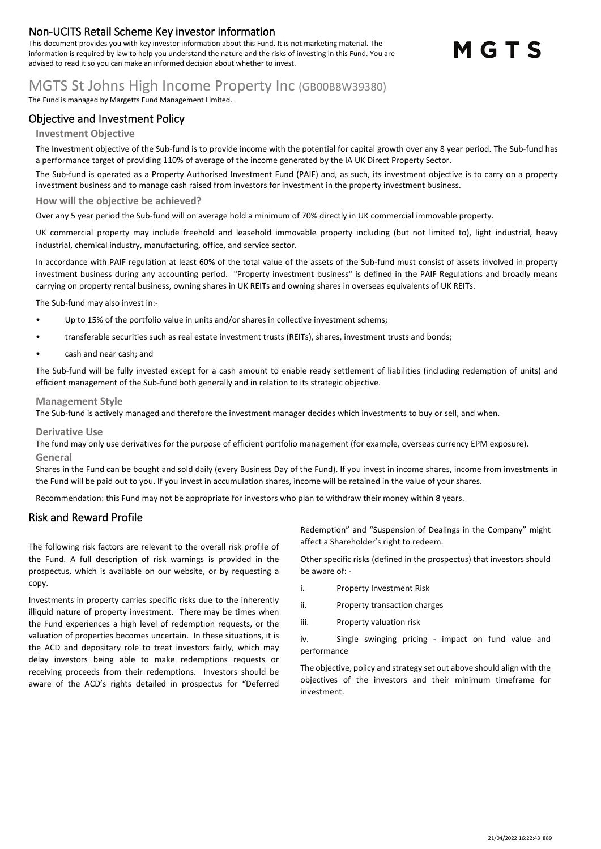## **Non-UCITS Retail Scheme Key investor information**

This document provides you with key investor information about this Fund. It is not marketing material. The information is required by law to help you understand the nature and the risks of investing in this Fund. You are advised to read it so you can make an informed decision about whether to invest.

# MGTS

# MGTS St Johns High Income Property Inc (GB00B8W39380)

The Fund is managed by Margetts Fund Management Limited.

## **Objective and Investment Policy**

### **Investment Objective**

The Investment objective of the Sub-fund is to provide income with the potential for capital growth over any 8 year period. The Sub-fund has a performance target of providing 110% of average of the income generated by the IA UK Direct Property Sector.

The Sub-fund is operated as a Property Authorised Investment Fund (PAIF) and, as such, its investment objective is to carry on a property investment business and to manage cash raised from investors for investment in the property investment business.

#### **How will the objective be achieved?**

Over any 5 year period the Sub-fund will on average hold a minimum of 70% directly in UK commercial immovable property.

UK commercial property may include freehold and leasehold immovable property including (but not limited to), light industrial, heavy industrial, chemical industry, manufacturing, office, and service sector.

In accordance with PAIF regulation at least 60% of the total value of the assets of the Sub-fund must consist of assets involved in property investment business during any accounting period. "Property investment business" is defined in the PAIF Regulations and broadly means carrying on property rental business, owning shares in UK REITs and owning shares in overseas equivalents of UK REITs.

The Sub-fund may also invest in:-

- Up to 15% of the portfolio value in units and/or shares in collective investment schems;
- transferable securities such as real estate investment trusts (REITs), shares, investment trusts and bonds;
- cash and near cash; and

The Sub-fund will be fully invested except for a cash amount to enable ready settlement of liabilities (including redemption of units) and efficient management of the Sub-fund both generally and in relation to its strategic objective.

#### **Management Style**

The Sub-fund is actively managed and therefore the investment manager decides which investments to buy or sell, and when.

#### **Derivative Use**

The fund may only use derivatives for the purpose of efficient portfolio management (for example, overseas currency EPM exposure). **General**

Shares in the Fund can be bought and sold daily (every Business Day of the Fund). If you invest in income shares, income from investments in the Fund will be paid out to you. If you invest in accumulation shares, income will be retained in the value of your shares.

Recommendation: this Fund may not be appropriate for investors who plan to withdraw their money within 8 years.

## **Risk and Reward Profile**

The following risk factors are relevant to the overall risk profile of the Fund. A full description of risk warnings is provided in the prospectus, which is available on our website, or by requesting a copy.

Investments in property carries specific risks due to the inherently illiquid nature of property investment. There may be times when the Fund experiences a high level of redemption requests, or the valuation of properties becomes uncertain. In these situations, it is the ACD and depositary role to treat investors fairly, which may delay investors being able to make redemptions requests or receiving proceeds from their redemptions. Investors should be aware of the ACD's rights detailed in prospectus for "Deferred Redemption" and "Suspension of Dealings in the Company" might affect a Shareholder's right to redeem.

Other specific risks (defined in the prospectus) that investors should be aware of: -

- i. Property Investment Risk
- ii. Property transaction charges
- iii. Property valuation risk

iv. Single swinging pricing - impact on fund value and performance

The objective, policy and strategy set out above should align with the objectives of the investors and their minimum timeframe for investment.